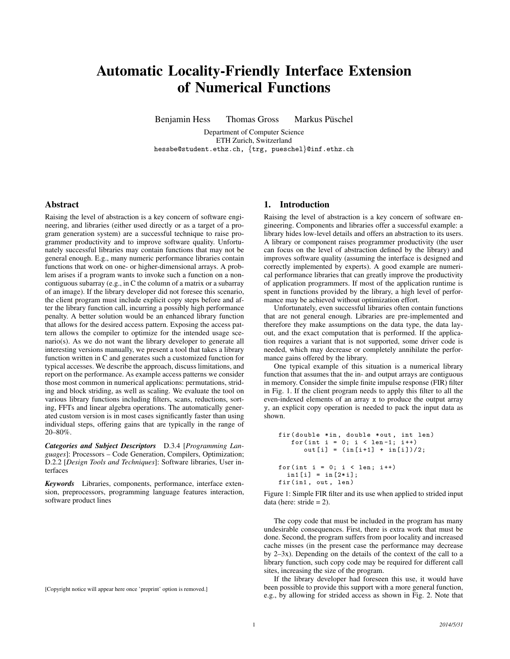# Automatic Locality-Friendly Interface Extension of Numerical Functions

Benjamin Hess Thomas Gross Markus Püschel

Department of Computer Science ETH Zurich, Switzerland hessbe@student.ethz.ch, {trg, pueschel}@inf.ethz.ch

# Abstract

Raising the level of abstraction is a key concern of software engineering, and libraries (either used directly or as a target of a program generation system) are a successful technique to raise programmer productivity and to improve software quality. Unfortunately successful libraries may contain functions that may not be general enough. E.g., many numeric performance libraries contain functions that work on one- or higher-dimensional arrays. A problem arises if a program wants to invoke such a function on a noncontiguous subarray (e.g., in C the column of a matrix or a subarray of an image). If the library developer did not foresee this scenario, the client program must include explicit copy steps before and after the library function call, incurring a possibly high performance penalty. A better solution would be an enhanced library function that allows for the desired access pattern. Exposing the access pattern allows the compiler to optimize for the intended usage scenario(s). As we do not want the library developer to generate all interesting versions manually, we present a tool that takes a library function written in C and generates such a customized function for typical accesses. We describe the approach, discuss limitations, and report on the performance. As example access patterns we consider those most common in numerical applications: permutations, striding and block striding, as well as scaling. We evaluate the tool on various library functions including filters, scans, reductions, sorting, FFTs and linear algebra operations. The automatically generated custom version is in most cases significantly faster than using individual steps, offering gains that are typically in the range of  $20 - 80\%$ .

*Categories and Subject Descriptors* D.3.4 [*Programming Languages*]: Processors – Code Generation, Compilers, Optimization; D.2.2 [*Design Tools and Techniques*]: Software libraries, User interfaces

*Keywords* Libraries, components, performance, interface extension, preprocessors, programming language features interaction, software product lines

[Copyright notice will appear here once 'preprint' option is removed.]

## 1. Introduction

Raising the level of abstraction is a key concern of software engineering. Components and libraries offer a successful example: a library hides low-level details and offers an abstraction to its users. A library or component raises programmer productivity (the user can focus on the level of abstraction defined by the library) and improves software quality (assuming the interface is designed and correctly implemented by experts). A good example are numerical performance libraries that can greatly improve the productivity of application programmers. If most of the application runtime is spent in functions provided by the library, a high level of performance may be achieved without optimization effort.

Unfortunately, even successful libraries often contain functions that are not general enough. Libraries are pre-implemented and therefore they make assumptions on the data type, the data layout, and the exact computation that is performed. If the application requires a variant that is not supported, some driver code is needed, which may decrease or completely annihilate the performance gains offered by the library.

One typical example of this situation is a numerical library function that assumes that the in- and output arrays are contiguous in memory. Consider the simple finite impulse response (FIR) filter in Fig. 1. If the client program needs to apply this filter to all the even-indexed elements of an array x to produce the output array y, an explicit copy operation is needed to pack the input data as shown.

```
fir (double *in, double *out, int len)
   for (int i = 0; i < len-1; i++)out[i] = (in[i+1] + in[i])/2;for (int i = 0; i < len; i++)in1[i] = in[2*i];fir (in1, out, len)
```
Figure 1: Simple FIR filter and its use when applied to strided input data (here: stride  $= 2$ ).

The copy code that must be included in the program has many undesirable consequences. First, there is extra work that must be done. Second, the program suffers from poor locality and increased cache misses (in the present case the performance may decrease by 2–3x). Depending on the details of the context of the call to a library function, such copy code may be required for different call sites, increasing the size of the program.

If the library developer had foreseen this use, it would have been possible to provide this support with a more general function, e.g., by allowing for strided access as shown in Fig. 2. Note that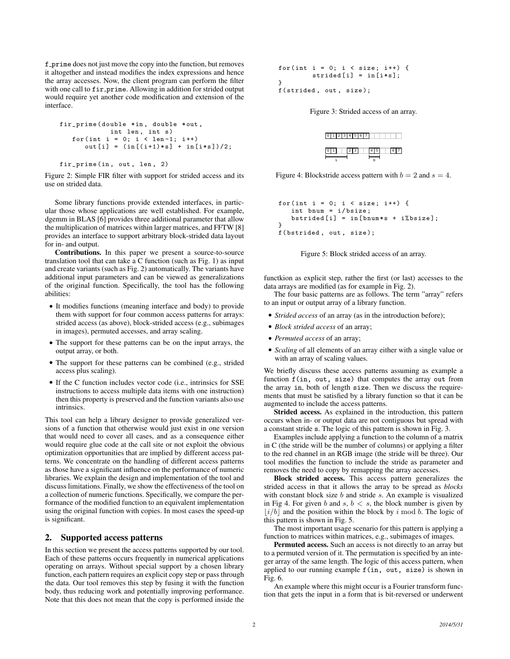f prime does not just move the copy into the function, but removes it altogether and instead modifies the index expressions and hence the array accesses. Now, the client program can perform the filter with one call to fir\_prime. Allowing in addition for strided output would require yet another code modification and extension of the interface.

```
fir_prime (double *in, double *out,
           int len, int s)
   for (int i = 0; i < len-1; i++)
      out[i] = (in[(i+1)*s] + in[i*s])/2;
```

```
fir_prime (in, out, len, 2)
```
Figure 2: Simple FIR filter with support for strided access and its use on strided data.

Some library functions provide extended interfaces, in particular those whose applications are well established. For example, dgemm in BLAS [6] provides three additional parameter that allow the multiplication of matrices within larger matrices, and FFTW [8] provides an interface to support arbitrary block-strided data layout for in- and output.

Contributions. In this paper we present a source-to-source translation tool that can take a C function (such as Fig. 1) as input and create variants (such as Fig. 2) automatically. The variants have additional input parameters and can be viewed as generalizations of the original function. Specifically, the tool has the following abilities:

- It modifies functions (meaning interface and body) to provide them with support for four common access patterns for arrays: strided access (as above), block-strided access (e.g., subimages in images), permuted accesses, and array scaling.
- The support for these patterns can be on the input arrays, the output array, or both.
- The support for these patterns can be combined (e.g., strided access plus scaling).
- If the C function includes vector code (i.e., intrinsics for SSE instructions to access multiple data items with one instruction) then this property is preserved and the function variants also use intrinsics.

This tool can help a library designer to provide generalized versions of a function that otherwise would just exist in one version that would need to cover all cases, and as a consequence either would require glue code at the call site or not exploit the obvious optimization opportunities that are implied by different access patterns. We concentrate on the handling of different access patterns as those have a significant influence on the performance of numeric libraries. We explain the design and implementation of the tool and discuss limitations. Finally, we show the effectiveness of the tool on a collection of numeric functions. Specifically, we compare the performance of the modified function to an equivalent implementation using the original function with copies. In most cases the speed-up is significant.

## 2. Supported access patterns

In this section we present the access patterns supported by our tool. Each of these patterns occurs frequently in numerical applications operating on arrays. Without special support by a chosen library function, each pattern requires an explicit copy step or pass through the data. Our tool removes this step by fusing it with the function body, thus reducing work and potentially improving performance. Note that this does not mean that the copy is performed inside the

```
for (int i = 0; i < size; i++) {
        strided[i] = in[i*s];}
f( strided , out , size );
```
Figure 3: Strided access of an array.

```
0 1 2 3 4 5 6 7\begin{array}{|c|c|c|c|c|c|}\n\hline\n0 & 1 & 2 & 3 & 4 & 5 & 6 & 7 \\
\hline\n0 & 0 & 0 & 4 & 5 & 6 & 7\n\end{array}
```
Figure 4: Blockstride access pattern with  $b = 2$  and  $s = 4$ .

s b

```
for (int i = 0; i < size; i++) {
   int bnum = i/ bsize ;
   bstrided[i] = in[bnum*s + i%bsize];}
f(bstrided, out, size);
```


functkion as explicit step, rather the first (or last) accesses to the data arrays are modified (as for example in Fig. 2).

The four basic patterns are as follows. The term "array" refers to an input or output array of a library function.

- *Strided access* of an array (as in the introduction before);
- *Block strided access* of an array;
- *Permuted access* of an array;
- *Scaling* of all elements of an array either with a single value or with an array of scaling values.

We briefly discuss these access patterns assuming as example a function f(in, out, size) that computes the array out from the array in, both of length size. Then we discuss the requirements that must be satisfied by a library function so that it can be augmented to include the access patterns.

Strided access. As explained in the introduction, this pattern occurs when in- or output data are not contiguous but spread with a constant stride s. The logic of this pattern is shown in Fig. 3.

Examples include applying a function to the column of a matrix in C (the stride will be the number of columns) or applying a filter to the red channel in an RGB image (the stride will be three). Our tool modifies the function to include the stride as parameter and removes the need to copy by remapping the array accesses.

Block strided access. This access pattern generalizes the strided access in that it allows the array to be spread as *blocks* with constant block size  $b$  and stride  $s$ . An example is visualized in Fig 4. For given b and  $s, b < s$ , the block number is given by  $|i/b|$  and the position within the block by i mod b. The logic of this pattern is shown in Fig. 5.

The most important usage scenario for this pattern is applying a function to matrices within matrices, e.g., subimages of images.

Permuted access. Such an access is not directly to an array but to a permuted version of it. The permutation is specified by an integer array of the same length. The logic of this access pattern, when applied to our running example f(in, out, size) is shown in Fig. 6.

An example where this might occur is a Fourier transform function that gets the input in a form that is bit-reversed or underwent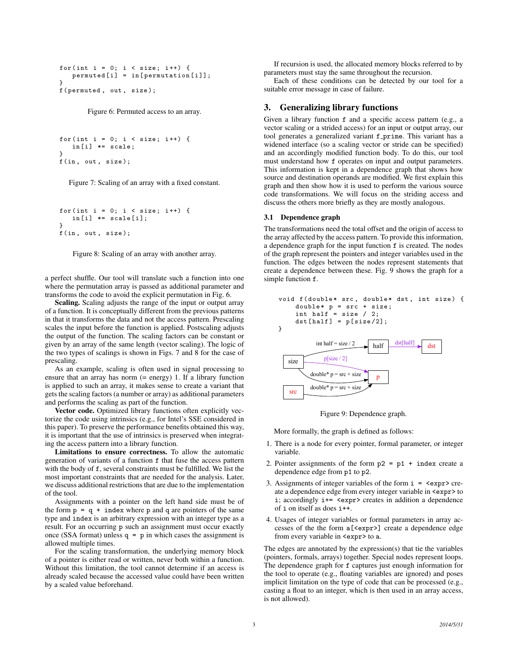```
for(int i = 0; i < size; i++) {
   permuted[i] = in[permutation[i]];}
f( permuted , out , size );
```
Figure 6: Permuted access to an array.

```
for(int i = 0; i < size; i++) {
   in [i] *= scale ;
}
f(in, out, size);
```
Figure 7: Scaling of an array with a fixed constant.

```
for (int i = 0; i < size; i++) {
   in[i] *= scale[i];}
f(in, out, size);
```
Figure 8: Scaling of an array with another array.

a perfect shuffle. Our tool will translate such a function into one where the permutation array is passed as additional parameter and transforms the code to avoid the explicit permutation in Fig. 6.

Scaling. Scaling adjusts the range of the input or output array of a function. It is conceptually different from the previous patterns in that it transforms the data and not the access pattern. Prescaling scales the input before the function is applied. Postscaling adjusts the output of the function. The scaling factors can be constant or given by an array of the same length (vector scaling). The logic of the two types of scalings is shown in Figs. 7 and 8 for the case of prescaling.

As an example, scaling is often used in signal processing to ensure that an array has norm  $(=$  energy) 1. If a library function is applied to such an array, it makes sense to create a variant that gets the scaling factors (a number or array) as additional parameters and performs the scaling as part of the function.

Vector code. Optimized library functions often explicitly vectorize the code using intrinsics (e.g., for Intel's SSE considered in this paper). To preserve the performance benefits obtained this way, it is important that the use of intrinsics is preserved when integrating the access pattern into a library function.

Limitations to ensure correctness. To allow the automatic generation of variants of a function f that fuse the access pattern with the body of f, several constraints must be fulfilled. We list the most important constraints that are needed for the analysis. Later, we discuss additional restrictions that are due to the implementation of the tool.

Assignments with a pointer on the left hand side must be of the form  $p = q + i$  ndex where p and q are pointers of the same type and index is an arbitrary expression with an integer type as a result. For an occurring p such an assignment must occur exactly once (SSA format) unless  $q = p$  in which cases the assignment is allowed multiple times.

For the scaling transformation, the underlying memory block of a pointer is either read or written, never both within a function. Without this limitation, the tool cannot determine if an access is already scaled because the accessed value could have been written by a scaled value beforehand.

If recursion is used, the allocated memory blocks referred to by parameters must stay the same throughout the recursion.

Each of these conditions can be detected by our tool for a suitable error message in case of failure.

## 3. Generalizing library functions

Given a library function f and a specific access pattern (e.g., a vector scaling or a strided access) for an input or output array, our tool generates a generalized variant f prime. This variant has a widened interface (so a scaling vector or stride can be specified) and an accordingly modified function body. To do this, our tool must understand how f operates on input and output parameters. This information is kept in a dependence graph that shows how source and destination operands are modified. We first explain this graph and then show how it is used to perform the various source code transformations. We will focus on the striding access and discuss the others more briefly as they are mostly analogous.

#### 3.1 Dependence graph

The transformations need the total offset and the origin of access to the array affected by the access pattern. To provide this information, a dependence graph for the input function f is created. The nodes of the graph represent the pointers and integer variables used in the function. The edges between the nodes represent statements that create a dependence between these. Fig. 9 shows the graph for a simple function f.



Figure 9: Dependence graph.

More formally, the graph is defined as follows:

- 1. There is a node for every pointer, formal parameter, or integer variable.
- 2. Pointer assignments of the form  $p2 = p1 + index$  create a dependence edge from p1 to p2.
- 3. Assignments of integer variables of the form  $i = \langle \text{expr} \rangle$  create a dependence edge from every integer variable in <expr> to i; accordingly i+= <expr> creates in addition a dependence of i on itself as does i++.
- 4. Usages of integer variables or formal parameters in array accesses of the the form a[<expr>] create a dependence edge from every variable in <expr> to a.

The edges are annotated by the expression(s) that tie the variables (pointers, formals, arrays) together. Special nodes represent loops. The dependence graph for f captures just enough information for the tool to operate (e.g., floating variables are ignored) and poses implicit limitation on the type of code that can be processed (e.g., casting a float to an integer, which is then used in an array access, is not allowed).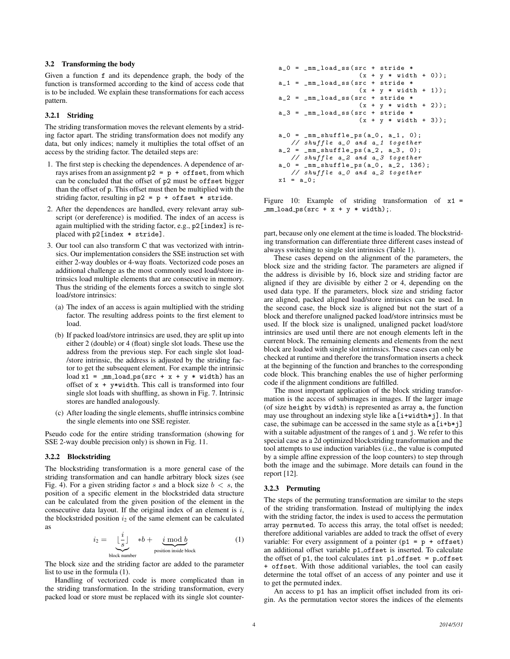#### 3.2 Transforming the body

Given a function f and its dependence graph, the body of the function is transformed according to the kind of access code that is to be included. We explain these transformations for each access pattern.

#### 3.2.1 Striding

The striding transformation moves the relevant elements by a striding factor apart. The striding transformation does not modify any data, but only indices; namely it multiplies the total offset of an access by the striding factor. The detailed steps are:

- 1. The first step is checking the dependences. A dependence of arrays arises from an assignment  $p2 = p + \text{offset}$ , from which can be concluded that the offset of p2 must be offset bigger than the offset of p. This offset must then be multiplied with the striding factor, resulting in  $p2 = p + \text{offset} * \text{ stride}.$
- 2. After the dependences are handled, every relevant array subscript (or dereference) is modified. The index of an access is again multiplied with the striding factor, e.g., p2[index] is replaced with p2[index \* stride].
- 3. Our tool can also transform C that was vectorized with intrinsics. Our implementation considers the SSE instruction set with either 2-way doubles or 4-way floats. Vectorized code poses an additional challenge as the most commonly used load/store intrinsics load multiple elements that are consecutive in memory. Thus the striding of the elements forces a switch to single slot load/store intrinsics:
	- (a) The index of an access is again multiplied with the striding factor. The resulting address points to the first element to load.
	- (b) If packed load/store intrinsics are used, they are split up into either 2 (double) or 4 (float) single slot loads. These use the address from the previous step. For each single slot load- /store intrinsic, the address is adjusted by the striding factor to get the subsequent element. For example the intrinsic  $load x1 = mm\_load_ps(src + x + y * width) has an$ offset of x + y\*width. This call is transformed into four single slot loads with shuffling, as shown in Fig. 7. Intrinsic stores are handled analogously.
	- (c) After loading the single elements, shuffle intrinsics combine the single elements into one SSE register.

Pseudo code for the entire striding transformation (showing for SSE 2-way double precision only) is shown in Fig. 11.

#### 3.2.2 Blockstriding

The blockstriding transformation is a more general case of the striding transformation and can handle arbitrary block sizes (see Fig. 4). For a given striding factor s and a block size  $b < s$ , the position of a specific element in the blockstrided data structure can be calculated from the given position of the element in the consecutive data layout. If the original index of an element is  $i$ , the blockstrided position  $i_2$  of the same element can be calculated as

$$
i_2 = \underbrace{\lfloor \frac{i}{s} \rfloor}_{\text{block number}} *b + \underbrace{i \text{ mod } b}_{\text{position inside block}} \tag{1}
$$

The block size and the striding factor are added to the parameter list to use in the formula (1).

Handling of vectorized code is more complicated than in the striding transformation. In the striding transformation, every packed load or store must be replaced with its single slot counter-

```
a_0 = \text{mm}\_load_ss(src + stride *
                     (x + y * width + 0));mm\_load\_ss (src + stride *(x + y * width + 1));mm\_load\_ss (src + stride *(x + y * width + 2));a_3 = \text{mm}\_load_ss(src + stride *
                     (x + y * width + 3));a_0 = \text{mm\_shuffle\_ps} (a_0, a_1, 0);// shuffle a_0 and a_1 together
a_2 = \text{mm\_shuffle}ps(a_2, a_3, 0);// shuffle a_2 and a_3 together
a_0 = \text{mm\_shuffle\_ps} (a_0, a_2, 136);// shuffle a_0 and a_2 together
x1 = a_0;
```
Figure 10: Example of striding transformation of x1 =  $mm\_load_ps(src + x + y * width)$ ;

part, because only one element at the time is loaded. The blockstriding transformation can differentiate three different cases instead of always switching to single slot intrinsics (Table 1).

These cases depend on the alignment of the parameters, the block size and the striding factor. The parameters are aligned if the address is divisible by 16, block size and striding factor are aligned if they are divisible by either 2 or 4, depending on the used data type. If the parameters, block size and striding factor are aligned, packed aligned load/store intrinsics can be used. In the second case, the block size is aligned but not the start of a block and therefore unaligned packed load/store intrinsics must be used. If the block size is unaligned, unaligned packet load/store intrinsics are used until there are not enough elements left in the current block. The remaining elements and elements from the next block are loaded with single slot intrinsics. These cases can only be checked at runtime and therefore the transformation inserts a check at the beginning of the function and branches to the corresponding code block. This branching enables the use of higher performing code if the alignment conditions are fulfilled.

The most important application of the block striding transformation is the access of subimages in images. If the larger image (of size height by width) is represented as array a, the function may use throughout an indexing style like a[i+width\*j]. In that case, the subimage can be accessed in the same style as  $a[i+b*j]$ with a suitable adjustment of the ranges of i and j. We refer to this special case as a 2d optimized blockstriding transformation and the tool attempts to use induction variables (i.e., the value is computed by a simple affine expression of the loop counters) to step through both the image and the subimage. More details can found in the report [12].

#### 3.2.3 Permuting

The steps of the permuting transformation are similar to the steps of the striding transformation. Instead of multiplying the index with the striding factor, the index is used to access the permutation array permuted. To access this array, the total offset is needed; therefore additional variables are added to track the offset of every variable: For every assignment of a pointer  $(p1 = p + offset)$ an additional offset variable p1\_offset is inserted. To calculate the offset of  $p1$ , the tool calculates int  $p1$ -offset =  $p$ -offset + offset. With those additional variables, the tool can easily determine the total offset of an access of any pointer and use it to get the permuted index.

An access to p1 has an implicit offset included from its origin. As the permutation vector stores the indices of the elements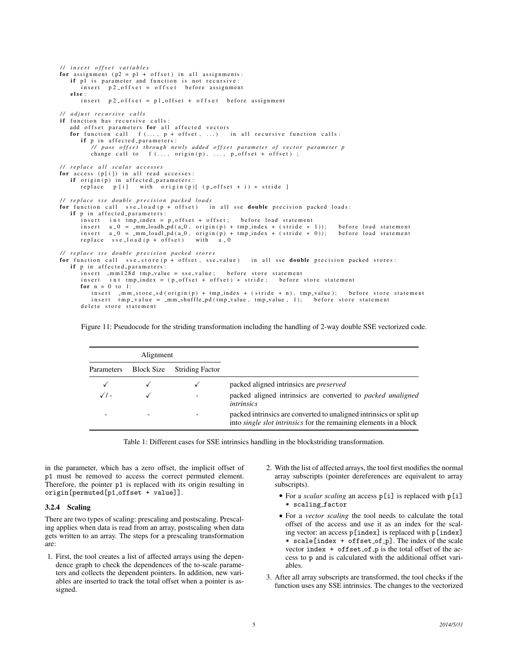```
/ / i n s e r t o f f s e t v a r i a b l e s
for assignment (p2 = p1 + \text{offset}) in all assignments:
    if pl is parameter and function is not recursive:
         insert p 2 of f s e t = of f s e t b e f or e as signment
    e l s e :
         insert p2_offset = p1_offset + offsetest before assignment
/ / a d j u s t r e c u r s i v e c a l l s
if function has recursive calls:
    add offset parameters for all affected vectors
    for function call f (..., p + \text{offset}, ...) in all recursive function calls:
         if p in affected parameters :
             <sup>1</sup>/ pass offset through newly added offset parameter of vector parameter p
             change call to f (..., origin(p), ..., p_offset + offset) ;
/ / r e p l a c e a l l s c a l a r a c c e s s e s
for access (p[i]) in all read accesses:
    if origin(p) in affected parameters:
        replace p [i] with origin (p)[ (p_offset + i) * stride ]
/ / r e p l a c e s s e d o u bl e p r e c i s i o n p acke d l o a d s
for function call sse-load (p + \text{offset}) in all sse double precision packed loads:
    if p in affected parameters:
         \frac{1}{x} insert int tmp_index = p_offset + offset; before load statement
         insert a 0 = \frac{1}{2}mm loadh pd(a0, origin(p) + tmp index + (stride * 1)); before load statement
         in sert a = 0 = mm loadl pd(a = 0, origin (p) + tm index + (stride * 0)); before load statement replace sse load (p + of f set) with a = 0r e place \text{c} s s e \text{c} l o a d (p + offset)
// replace sse double precision packed stores
for function call sse_store(p + offset, sse_value) in all sse double precision packed stores:<br>if p in affected_parameters:
         in sert _mm 1 2 8 d tm p _v alue = s s e _v alue ; before store statement<br>in sert in t tm p _index = (p _offset + offset) * stride : before store statement
         insert \text{ } in \text{ } term \text{ } if \text{ } or \text{ } term \text{ } if \text{ } is \text{ } if \text{ } is \text{ } if \text{ } is \text{ } if \text{ } is \text{ } if \text{ } is \text{ } if \text{ } is \text{ } if \text{ } is \text{ } if \text{ } is \text{ } if \text{ } is \text{ } if \text{ } is \text{ } if \text{ } is \text{ } if \text{ } is \text{ } if \text{ } is \text{ } if \text{ } is \text{ } if \text{ } is \text{ } if \text{ } is \text{ } if \text{ } is \text{ } if \text{ } is \text{ } if \text{ } is \text{ }for n = 0 to 1:
              insert _mm_store_sd(origin(p) + tmp_index + (stride * n), tmp_value); before store statement<br>insert tmp_value = _mm_shuffle_pd(tmp_value, tmp_value, 1); before store statement
         de lete store statement
```
Figure 11: Pseudocode for the striding transformation including the handling of 2-way double SSE vectorized code.

| Alignment  |                   |                          |                                                                                                                                                 |
|------------|-------------------|--------------------------|-------------------------------------------------------------------------------------------------------------------------------------------------|
| Parameters | <b>Block Size</b> | <b>Striding Factor</b>   |                                                                                                                                                 |
|            |                   |                          | packed aligned intrinsics are <i>preserved</i>                                                                                                  |
| √/-        |                   | $\overline{\phantom{0}}$ | packed aligned intrinsics are converted to <i>packed unaligned</i><br>intrinsics                                                                |
|            |                   |                          | packed intrinsics are converted to unaligned intrinsics or split up<br>into <i>single slot intrinsics</i> for the remaining elements in a block |

Table 1: Different cases for SSE intrinsics handling in the blockstriding transformation.

in the parameter, which has a zero offset, the implicit offset of p1 must be removed to access the correct permuted element. Therefore, the pointer p1 is replaced with its origin resulting in origin[permuted[p1 offset + value]].

## 3.2.4 Scaling

There are two types of scaling: prescaling and postscaling. Prescaling applies when data is read from an array, postscaling when data gets written to an array. The steps for a prescaling transformation are:

1. First, the tool creates a list of affected arrays using the dependence graph to check the dependences of the to-scale parameters and collects the dependent pointers. In addition, new variables are inserted to track the total offset when a pointer is assigned.

- 2. With the list of affected arrays, the tool first modifies the normal array subscripts (pointer dereferences are equivalent to array subscripts).
	- For a *scalar scaling* an access  $p[i]$  is replaced with  $p[i]$ \* scaling factor
	- For a *vector scaling* the tool needs to calculate the total offset of the access and use it as an index for the scaling vector: an access p[index] is replaced with p[index] \* scale[index + offset\_of\_p]. The index of the scale vector index + offset\_of\_p is the total offset of the access to p and is calculated with the additional offset variables.
- 3. After all array subscripts are transformed, the tool checks if the function uses any SSE intrinsics. The changes to the vectorized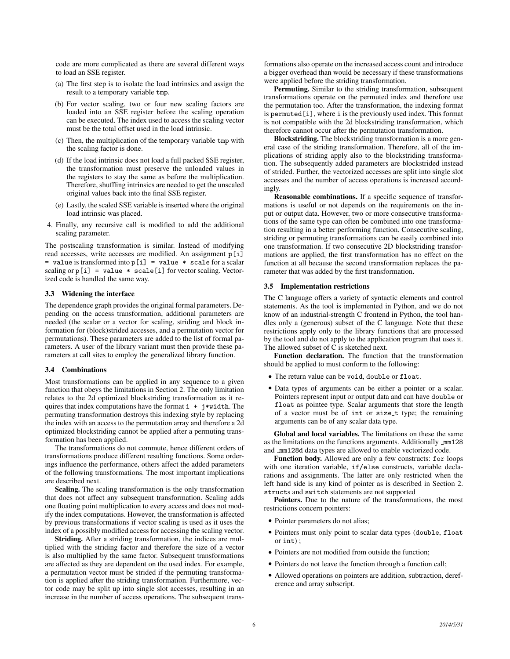code are more complicated as there are several different ways to load an SSE register.

- (a) The first step is to isolate the load intrinsics and assign the result to a temporary variable tmp.
- (b) For vector scaling, two or four new scaling factors are loaded into an SSE register before the scaling operation can be executed. The index used to access the scaling vector must be the total offset used in the load intrinsic.
- (c) Then, the multiplication of the temporary variable tmp with the scaling factor is done.
- (d) If the load intrinsic does not load a full packed SSE register, the transformation must preserve the unloaded values in the registers to stay the same as before the multiplication. Therefore, shuffling intrinsics are needed to get the unscaled original values back into the final SSE register.
- (e) Lastly, the scaled SSE variable is inserted where the original load intrinsic was placed.
- 4. Finally, any recursive call is modified to add the additional scaling parameter.

The postscaling transformation is similar. Instead of modifying read accesses, write accesses are modified. An assignment p[i] = value is transformed into p[i] = value \* scale for a scalar scaling or  $p[i]$  = value  $*$  scale [i] for vector scaling. Vectorized code is handled the same way.

#### 3.3 Widening the interface

The dependence graph provides the original formal parameters. Depending on the access transformation, additional parameters are needed (the scalar or a vector for scaling, striding and block information for (block)strided accesses, and a permutation vector for permutations). These parameters are added to the list of formal parameters. A user of the library variant must then provide these parameters at call sites to employ the generalized library function.

#### 3.4 Combinations

Most transformations can be applied in any sequence to a given function that obeys the limitations in Section 2. The only limitation relates to the 2d optimized blockstriding transformation as it requires that index computations have the format  $i + j$ \*width. The permuting transformation destroys this indexing style by replacing the index with an access to the permutation array and therefore a 2d optimized blockstriding cannot be applied after a permuting transformation has been applied.

The transformations do not commute, hence different orders of transformations produce different resulting functions. Some orderings influence the performance, others affect the added parameters of the following transformations. The most important implications are described next.

Scaling. The scaling transformation is the only transformation that does not affect any subsequent transformation. Scaling adds one floating point multiplication to every access and does not modify the index computations. However, the transformation is affected by previous transformations if vector scaling is used as it uses the index of a possibly modified access for accessing the scaling vector.

Striding. After a striding transformation, the indices are multiplied with the striding factor and therefore the size of a vector is also multiplied by the same factor. Subsequent transformations are affected as they are dependent on the used index. For example, a permutation vector must be strided if the permuting transformation is applied after the striding transformation. Furthermore, vector code may be split up into single slot accesses, resulting in an increase in the number of access operations. The subsequent transformations also operate on the increased access count and introduce a bigger overhead than would be necessary if these transformations were applied before the striding transformation.

Permuting. Similar to the striding transformation, subsequent transformations operate on the permuted index and therefore use the permutation too. After the transformation, the indexing format is permuted[i], where i is the previously used index. This format is not compatible with the 2d blockstriding transformation, which therefore cannot occur after the permutation transformation.

Blockstriding. The blockstriding transformation is a more general case of the striding transformation. Therefore, all of the implications of striding apply also to the blockstriding transformation. The subsequently added parameters are blockstrided instead of strided. Further, the vectorized accesses are split into single slot accesses and the number of access operations is increased accordingly.

Reasonable combinations. If a specific sequence of transformations is useful or not depends on the requirements on the input or output data. However, two or more consecutive transformations of the same type can often be combined into one transformation resulting in a better performing function. Consecutive scaling, striding or permuting transformations can be easily combined into one transformation. If two consecutive 2D blockstriding transformations are applied, the first transformation has no effect on the function at all because the second transformation replaces the parameter that was added by the first transformation.

#### 3.5 Implementation restrictions

The C language offers a variety of syntactic elements and control statements. As the tool is implemented in Python, and we do not know of an industrial-strength C frontend in Python, the tool handles only a (generous) subset of the C language. Note that these restrictions apply only to the library functions that are processed by the tool and do not apply to the application program that uses it. The allowed subset of C is sketched next.

Function declaration. The function that the transformation should be applied to must conform to the following:

- The return value can be void, double or float.
- Data types of arguments can be either a pointer or a scalar. Pointers represent input or output data and can have double or float as pointee type. Scalar arguments that store the length of a vector must be of int or size t type; the remaining arguments can be of any scalar data type.

Global and local variables. The limitations on these the same as the limitations on the functions arguments. Additionally mm128 and mm128d data types are allowed to enable vectorized code.

Function body. Allowed are only a few constructs: for loops with one iteration variable, if/else constructs, variable declarations and assignments. The latter are only restricted when the left hand side is any kind of pointer as is described in Section 2. structs and switch statements are not supported

Pointers. Due to the nature of the transformations, the most restrictions concern pointers:

- Pointer parameters do not alias;
- Pointers must only point to scalar data types (double, float or int) ;
- Pointers are not modified from outside the function;
- Pointers do not leave the function through a function call;
- Allowed operations on pointers are addition, subtraction, dereference and array subscript.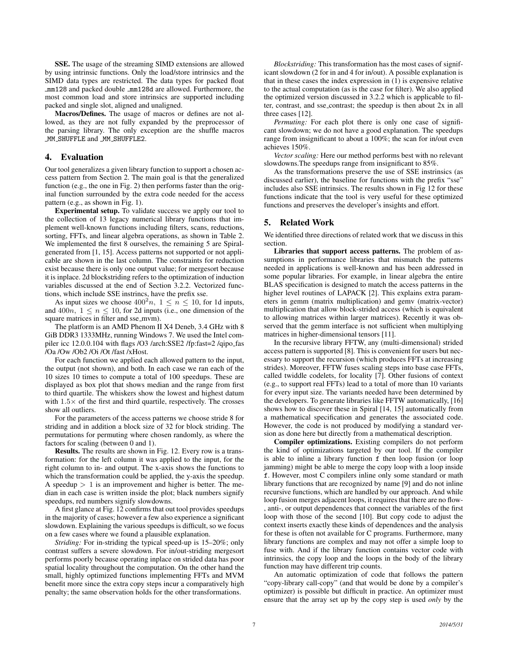SSE. The usage of the streaming SIMD extensions are allowed by using intrinsic functions. Only the load/store intrinsics and the SIMD data types are restricted. The data types for packed float mm128 and packed double mm128d are allowed. Furthermore, the most common load and store intrinsics are supported including packed and single slot, aligned and unaligned.

Macros/Defines. The usage of macros or defines are not allowed, as they are not fully expanded by the preprocessor of the parsing library. The only exception are the shuffle macros MM SHUFFLE and MM SHUFFLE2.

#### 4. Evaluation

Our tool generalizes a given library function to support a chosen access pattern from Section 2. The main goal is that the generalized function (e.g., the one in Fig. 2) then performs faster than the original function surrounded by the extra code needed for the access pattern (e.g., as shown in Fig. 1).

Experimental setup. To validate success we apply our tool to the collection of 13 legacy numerical library functions that implement well-known functions including filters, scans, reductions, sorting, FFTs, and linear algebra operations, as shown in Table 2. We implemented the first 8 ourselves, the remaining 5 are Spiralgenerated from [1, 15]. Access patterns not supported or not applicable are shown in the last column. The constraints for reduction exist because there is only one output value; for mergesort because it is inplace. 2d blockstriding refers to the optimization of induction variables discussed at the end of Section 3.2.2. Vectorized functions, which include SSE instrincs, have the prefix sse.

As input sizes we choose  $400^2n$ ,  $1 \le n \le 10$ , for 1d inputs, and  $400n, 1 \le n \le 10$ , for 2d inputs (i.e., one dimension of the square matrices in filter and sse\_mvm).

The platform is an AMD Phenom II X4 Deneb, 3.4 GHz with 8 GiB DDR3 1333MHz, running Windows 7. We used the Intel compiler icc 12.0.0.104 with flags /O3 /arch:SSE2 /fp:fast=2 /qipo fas /Oa /Ow /Ob2 /Oi /Ot /fast /xHost.

For each function we applied each allowed pattern to the input, the output (not shown), and both. In each case we ran each of the 10 sizes 10 times to compute a total of 100 speedups. These are displayed as box plot that shows median and the range from first to third quartile. The whiskers show the lowest and highest datum with  $1.5\times$  of the first and third quartile, respectively. The crosses show all outliers.

For the parameters of the access patterns we choose stride 8 for striding and in addition a block size of 32 for block striding. The permutations for permuting where chosen randomly, as where the factors for scaling (between 0 and 1).

Results. The results are shown in Fig. 12. Every row is a transformation: for the left column it was applied to the input, for the right column to in- and output. The x-axis shows the functions to which the transformation could be applied, the y-axis the speedup. A speedup  $> 1$  is an improvement and higher is better. The median in each case is written inside the plot; black numbers signify speedups, red numbers signify slowdowns.

A first glance at Fig. 12 confirms that out tool provides speedups in the majority of cases; however a few also experience a significant slowdown. Explaining the various speedups is difficult, so we focus on a few cases where we found a plausible explanation.

*Striding:* For in-striding the typical speed-up is 15–20%; only contrast suffers a severe slowdown. For in/out-striding mergesort performs poorly because operating inplace on strided data has poor spatial locality throughout the computation. On the other hand the small, highly optimized functions implementing FFTs and MVM benefit more since the extra copy steps incur a comparatively high penalty; the same observation holds for the other transformations.

*Blockstriding:* This transformation has the most cases of significant slowdown (2 for in and 4 for in/out). A possible explanation is that in these cases the index expression in (1) is expensive relative to the actual computation (as is the case for filter). We also applied the optimized version discussed in 3.2.2 which is applicable to filter, contrast, and sse contrast; the speedup is then about 2x in all three cases [12].

*Permuting:* For each plot there is only one case of significant slowdown; we do not have a good explanation. The speedups range from insignificant to about a 100%; the scan for in/out even achieves 150%.

*Vector scaling:* Here our method performs best with no relevant slowdowns.The speedups range from insignificant to 85%.

As the transformations preserve the use of SSE instrinsics (as discussed earlier), the baseline for functions with the prefix "sse" includes also SSE intrinsics. The results shown in Fig 12 for these functions indicate that the tool is very useful for these optimized functions and preserves the developer's insights and effort.

## 5. Related Work

We identified three directions of related work that we discuss in this section.

Libraries that support access patterns. The problem of assumptions in performance libraries that mismatch the patterns needed in applications is well-known and has been addressed in some popular libraries. For example, in linear algebra the entire BLAS specification is designed to match the access patterns in the higher level routines of LAPACK [2]. This explains extra parameters in gemm (matrix multiplication) and gemv (matrix-vector) multiplication that allow block-strided access (which is equivalent to allowing matrices within larger matrices). Recently it was observed that the gemm interface is not sufficient when multiplying matrices in higher-dimensional tensors [11].

In the recursive library FFTW, any (multi-dimensional) strided access pattern is supported [8]. This is convenient for users but necessary to support the recursion (which produces FFTs at increasing strides). Moreover, FFTW fuses scaling steps into base case FFTs, called twiddle codelets, for locality [7]. Other fusions of context (e.g., to support real FFTs) lead to a total of more than 10 variants for every input size. The variants needed have been determined by the developers. To generate libraries like FFTW automatically, [16] shows how to discover these in Spiral [14, 15] automatically from a mathematical specification and generates the associated code. However, the code is not produced by modifying a standard version as done here but directly from a mathematical description.

Compiler optimizations. Existing compilers do not perform the kind of optimizations targeted by our tool. If the compiler is able to inline a library function f then loop fusion (or loop jamming) might be able to merge the copy loop with a loop inside f. However, most C compilers inline only some standard or math library functions that are recognized by name [9] and do not inline recursive functions, which are handled by our approach. And while loop fusion merges adjacent loops, it requires that there are no flow- , anti-, or output dependences that connect the variables of the first loop with those of the second [10]. But copy code to adjust the context inserts exactly these kinds of dependences and the analysis for these is often not available for C programs. Furthermore, many library functions are complex and may not offer a simple loop to fuse with. And if the library function contains vector code with intrinsics, the copy loop and the loops in the body of the library function may have different trip counts.

An automatic optimization of code that follows the pattern "copy-library call-copy" (and that would be done by a compiler's optimizer) is possible but difficult in practice. An optimizer must ensure that the array set up by the copy step is used *only* by the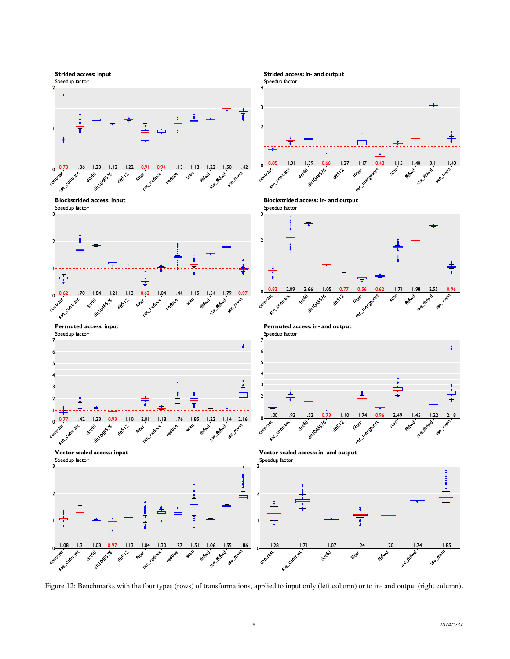

Figure 12: Benchmarks with the four types (rows) of transformations, applied to input only (left column) or to in- and output (right column).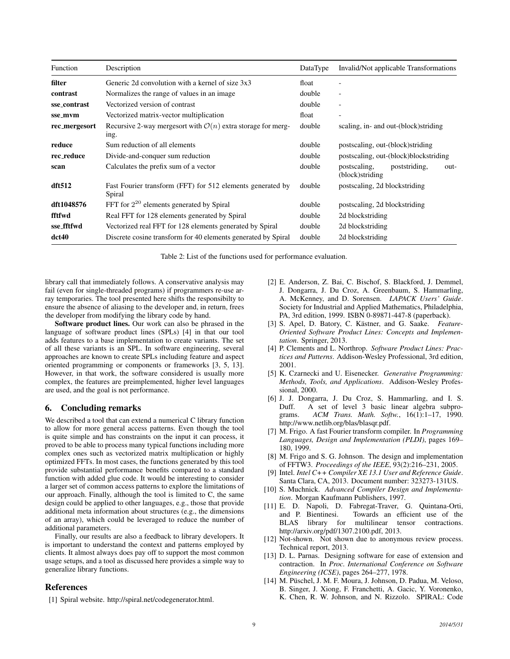| Function      | Description                                                                      | DataType | Invalid/Not applicable Transformations                    |
|---------------|----------------------------------------------------------------------------------|----------|-----------------------------------------------------------|
| filter        | Generic 2d convolution with a kernel of size 3x3                                 | float    |                                                           |
| contrast      | Normalizes the range of values in an image.                                      | double   | $\overline{\phantom{a}}$                                  |
| sse_contrast  | Vectorized version of contrast                                                   | double   |                                                           |
| sse_mvm       | Vectorized matrix-vector multiplication                                          | float    |                                                           |
| rec_mergesort | Recursive 2-way merges ort with $\mathcal{O}(n)$ extra storage for merg-<br>ing. | double   | scaling, in- and out-(block) striding                     |
| reduce        | Sum reduction of all elements                                                    | double   | postscaling, out-(block) striding                         |
| rec_reduce    | Divide-and-conquer sum reduction                                                 | double   | postscaling, out-(block)blockstriding                     |
| scan          | Calculates the prefix sum of a vector                                            | double   | postscaling.<br>poststriding,<br>out-<br>(block) striding |
| dft512        | Fast Fourier transform (FFT) for 512 elements generated by<br>Spiral             | double   | postscaling, 2d blockstriding                             |
| dft1048576    | FFT for $2^{20}$ elements generated by Spiral                                    | double   | postscaling, 2d blockstriding                             |
| fftfwd        | Real FFT for 128 elements generated by Spiral                                    | double   | 2d blockstriding                                          |
| sse_fftfwd    | Vectorized real FFT for 128 elements generated by Spiral                         | double   | 2d blockstriding                                          |
| dct40         | Discrete cosine transform for 40 elements generated by Spiral                    | double   | 2d blockstriding                                          |

Table 2: List of the functions used for performance evaluation.

library call that immediately follows. A conservative analysis may fail (even for single-threaded programs) if programmers re-use array temporaries. The tool presented here shifts the responsibilty to ensure the absence of aliasing to the developer and, in return, frees the developer from modifying the library code by hand.

Software product lines. Our work can also be phrased in the language of software product lines (SPLs) [4] in that our tool adds features to a base implementation to create variants. The set of all these variants is an SPL. In software engineering, several approaches are known to create SPLs including feature and aspect oriented programming or components or frameworks [3, 5, 13]. However, in that work, the software considered is usually more complex, the features are preimplemented, higher level languages are used, and the goal is not performance.

## 6. Concluding remarks

We described a tool that can extend a numerical C library function to allow for more general access patterns. Even though the tool is quite simple and has constraints on the input it can process, it proved to be able to process many typical functions including more complex ones such as vectorized matrix multiplication or highly optimized FFTs. In most cases, the functions generated by this tool provide substantial performance benefits compared to a standard function with added glue code. It would be interesting to consider a larger set of common access patterns to explore the limitations of our approach. Finally, although the tool is limited to C, the same design could be applied to other languages, e.g., those that provide additional meta information about structures (e.g., the dimensions of an array), which could be leveraged to reduce the number of additional parameters.

Finally, our results are also a feedback to library developers. It is important to understand the context and patterns employed by clients. It almost always does pay off to support the most common usage setups, and a tool as discussed here provides a simple way to generalize library functions.

## References

[1] Spiral website. http://spiral.net/codegenerator.html.

- [2] E. Anderson, Z. Bai, C. Bischof, S. Blackford, J. Demmel, J. Dongarra, J. Du Croz, A. Greenbaum, S. Hammarling, A. McKenney, and D. Sorensen. *LAPACK Users' Guide*. Society for Industrial and Applied Mathematics, Philadelphia, PA, 3rd edition, 1999. ISBN 0-89871-447-8 (paperback).
- [3] S. Apel, D. Batory, C. Kästner, and G. Saake. Feature-*Oriented Software Product Lines: Concepts and Implementation*. Springer, 2013.
- [4] P. Clements and L. Northrop. *Software Product Lines: Practices and Patterns*. Addison-Wesley Professional, 3rd edition, 2001.
- [5] K. Czarnecki and U. Eisenecker. *Generative Programming: Methods, Tools, and Applications*. Addison-Wesley Professional, 2000.
- [6] J. J. Dongarra, J. Du Croz, S. Hammarling, and I. S. A set of level 3 basic linear algebra subprograms. *ACM Trans. Math. Softw.*, 16(1):1–17, 1990. http://www.netlib.org/blas/blasqr.pdf.
- [7] M. Frigo. A fast Fourier transform compiler. In *Programming Languages, Design and Implementation (PLDI)*, pages 169– 180, 1999.
- [8] M. Frigo and S. G. Johnson. The design and implementation of FFTW3. *Proceedings of the IEEE*, 93(2):216–231, 2005.
- [9] Intel. *Intel C++ Compiler XE 13.1 User and Reference Guide*. Santa Clara, CA, 2013. Document number: 323273-131US.
- [10] S. Muchnick. *Advanced Compiler Design and Implementation*. Morgan Kaufmann Publishers, 1997.
- [11] E. D. Napoli, D. Fabregat-Traver, G. Quintana-Orti, and P. Bientinesi. Towards an efficient use of the BLAS library for multilinear tensor contractions. http://arxiv.org/pdf/1307.2100.pdf, 2013.
- [12] Not-shown. Not shown due to anonymous review process. Technical report, 2013.
- [13] D. L. Parnas. Designing software for ease of extension and contraction. In *Proc. International Conference on Software Engineering (ICSE)*, pages 264–277, 1978.
- [14] M. Püschel, J. M. F. Moura, J. Johnson, D. Padua, M. Veloso, B. Singer, J. Xiong, F. Franchetti, A. Gacic, Y. Voronenko, K. Chen, R. W. Johnson, and N. Rizzolo. SPIRAL: Code